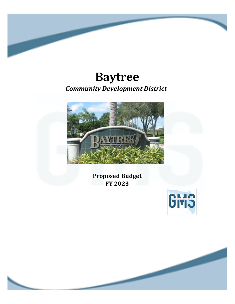# *Community Development District*  **Baytree**



**Proposed Budget FY 2023**

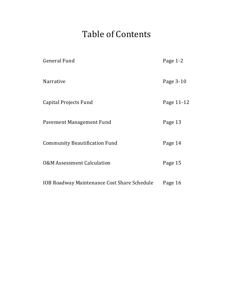## Table of Contents

| <b>General Fund</b>                         | Page $1-2$ |
|---------------------------------------------|------------|
| Narrative                                   | Page 3-10  |
| Capital Projects Fund                       | Page 11-12 |
| Pavement Management Fund                    | Page 13    |
| <b>Community Beautification Fund</b>        | Page 14    |
| <b>0&amp;M Assessment Calculation</b>       | Page 15    |
| IOB Roadway Maintenance Cost Share Schedule | Page 16    |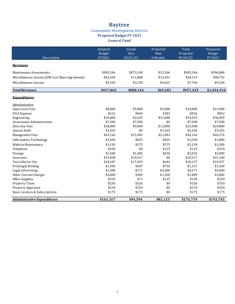#### **Community Development District Proposed Budget FY 2023 General Fund**

|                                                 | Adopted                 | Actual<br>thru | Projected<br><b>Next</b> | Total                 | Proposed                 |
|-------------------------------------------------|-------------------------|----------------|--------------------------|-----------------------|--------------------------|
| Description                                     | <b>Budget</b><br>FY2022 | 03/31/22       | 6 Months                 | Projected<br>09/30/22 | <b>Budget</b><br>FY 2023 |
| <b>Revenues</b>                                 |                         |                |                          |                       |                          |
| Maintenance Assessments                         | \$905,346               | \$873,140      | \$32,206                 | \$905,346             | \$996,868                |
| Miscellaneous Income (IOB Cost Share Agreement) | \$43,269                | \$11,868       | \$32,451                 | \$44,319              | \$48,792                 |
| Miscellaneous Income                            | \$9,250                 | \$3,139        | \$4,625                  | \$7,764               | \$9,250                  |
| <b>Total Revenues</b>                           | \$957,865               | \$888,146      | \$69,282                 | \$957,429             | \$1,054,910              |
| <b>Expenditures</b>                             |                         |                |                          |                       |                          |
| Administrative                                  |                         |                |                          |                       |                          |
| <b>Supervisor Fees</b>                          | \$8,000                 | \$5,800        | \$5,000                  | \$10,800              | \$11,000                 |
| <b>FICA Expense</b>                             | \$612                   | \$444          | \$383                    | \$826                 | \$842                    |
| Engineering                                     | \$35,000                | \$2,635        | \$31,000                 | \$33,635              | \$36,050                 |
| <b>Assessment Administration</b>                | \$7,500                 | \$7,500        | \$0                      | \$7,500               | \$7,500                  |
| <b>Attorney Fees</b>                            | \$18,000                | \$9,068        | \$12,000                 | \$21,068              | \$24,000                 |
| Annual Audit                                    | \$3,265                 | \$0            | \$3,265                  | \$3,265               | \$3,265                  |
| <b>Management Fees</b>                          | \$42,166                | \$21,083       | \$21,083                 | \$42,166              | \$44,274                 |
| <b>Information Technology</b>                   | \$1,650                 | \$825          | \$825                    | \$1,650               | \$1,800                  |
| Website Maintenance                             | \$1,150                 | \$575          | \$575                    | \$1,150               | \$1,200                  |
| Telephone                                       | \$250                   | \$0            | \$125                    | \$125                 | \$250                    |
| Postage                                         | \$1,500                 | \$1,382        | \$650                    | \$2,032               | \$2,000                  |
| Insurance                                       | \$19,058                | \$25,917       | \$0                      | \$25,917              | \$31,100                 |
| Tax Collector Fee                               | \$18,107                | \$17,493       | \$644                    | \$18,137              | \$19,937                 |
| Printing & Binding                              | \$1.500                 | \$507          | \$750                    | \$1,257               | \$1.500                  |
| Legal Advertising                               | \$1,500                 | \$171          | \$4,200                  | \$4,371               | \$5,000                  |
| Other Current Charges                           | \$3,000                 | \$389          | \$1,500                  | \$1,889               | \$3,000                  |
| Office Supplies                                 | \$250                   | \$71           | \$125                    | \$196                 | \$250                    |
| <b>Property Taxes</b>                           | \$250                   | \$326          | \$0                      | \$326                 | \$350                    |
| Property Appraiser                              | \$234                   | \$234          | \$0                      | \$234                 | \$250                    |
| Dues, Licenses & Subscriptions                  | \$175                   | \$175          | \$0                      | \$175                 | \$175                    |
| <b>Administrative Expenditures</b>              | \$163,167               | \$94,594       | \$82,125                 | \$176,719             | \$193,743                |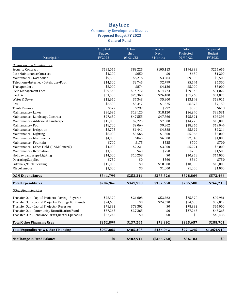#### **Community Development District Proposed Budget FY 2023 General Fund**

|                                                      | Adopted       | Actual    | Projected   | Total     | Proposed      |
|------------------------------------------------------|---------------|-----------|-------------|-----------|---------------|
|                                                      | <b>Budget</b> | thru      | <b>Next</b> | Projected | <b>Budget</b> |
| Description                                          | FY2022        | 03/31/22  | 6 Months    | 09/30/22  | FY 2023       |
| <b>Operation and Maintenance</b>                     |               |           |             |           |               |
| Security Contract                                    | \$185,056     | \$89,225  | \$105,113   | \$194,338 | \$215,656     |
| Gate Maintenance Contract                            | \$1,200       | \$650     | \$0         | \$650     | \$1,200       |
| Maintenance - Gatehouse                              | \$9,500       | \$6,216   | \$3,284     | \$9,500   | \$9,500       |
| Telephone/Internet - Gatehouse/Pool                  | \$14,500      | \$2,745   | \$2,799     | \$5,544   | \$6,300       |
| Transponders                                         | \$5,000       | \$874     | \$4,126     | \$5,000   | \$5,000       |
| <b>Field Management Fees</b>                         | \$29,545      | \$14,772  | \$14,773    | \$29,545  | \$31,022      |
| Electric                                             | \$51,500      | \$25,360  | \$26,400    | \$51,760  | \$54,075      |
| Water & Sewer                                        | \$12,650      | \$7,343   | \$5,800     | \$13,143  | \$13,915      |
| Gas                                                  | \$6,500       | \$5,347   | \$1,525     | \$6,872   | \$7,150       |
| <b>Trash Removal</b>                                 | \$577         | \$297     | \$297       | \$595     | \$613         |
| Maintenance - Lakes                                  | \$36,696      | \$18,120  | \$18,120    | \$36,240  | \$38,531      |
| Maintenance - Landscape Contract                     | \$97,650      | \$47,555  | \$47,766    | \$95,321  | \$98,398      |
| Maintenance - Additional Landscape                   | \$15,000      | \$7,225   | \$7,500     | \$14,725  | \$15,000      |
| Maintenance - Pool                                   | \$18,700      | \$9,064   | \$9,802     | \$18,866  | \$19,944      |
| Maintenance - Irrigation                             | \$8,775       | \$1,441   | \$4,388     | \$5,829   | \$9,214       |
| Maintenance - Lighting                               | \$8,000       | \$3,566   | \$1,500     | \$5,066   | \$5,000       |
| Maintenance - Monuments                              | \$4,000       | \$845     | \$6,500     | \$7,345   | \$4,000       |
| Maintenance - Fountain                               | \$700         | \$175     | \$525       | \$700     | \$700         |
| Maintenance - Other Field (R&M General)              | \$4,000       | \$2,221   | \$3,000     | \$5,221   | \$5,000       |
| Maintenance - Recreation                             | \$1,500       | \$43      | \$750       | \$793     | \$1,500       |
| Holiday Landscape Lighting                           | \$14,000      | \$10,258  | \$0         | \$10,258  | \$14,000      |
| <b>Operating Supplies</b>                            | \$750         | \$0       | \$560       | \$560     | \$750         |
| Sidewalk/Curb Cleaning                               | \$15,000      | \$0       | \$10,000    | \$10,000  | \$15,000      |
| Miscellaneous                                        | \$1,000       | \$0       | \$1,000     | \$1,000   | \$1,000       |
| <b>O&amp;M</b> Expenditures                          | \$541,799     | \$253,344 | \$275,526   | \$528,869 | \$572,466     |
| <b>Total Expenditures</b>                            | \$704,966     | \$347,938 | \$357,650   | \$705,588 | \$766,210     |
| <b>Other Financing Uses</b>                          |               |           |             |           |               |
|                                                      |               |           |             |           |               |
| Transfer Out - Capital Projects- Paving - Baytree    | \$75,370      | \$21,608  | \$53,762    | \$75,370  | \$97,981      |
| Transfer Out - Capital Projects - Paving - IOB Funds | \$24,630      | \$0       | \$24,630    | \$24,630  | \$32,019      |
| Transfer Out - Capital Projects - Reserves           | \$78,392      | \$78,392  | \$0         | \$78,392  | \$65,000      |
| Transfer Out - Community Beautification Fund         | \$37,265      | \$37,265  | \$0         | \$37,265  | \$45,265      |
| Transfer Out - Rebalance First Quarter Operating     | \$37,242      | \$0       | \$0         | \$0       | \$48,436      |
| <b>Total Other Financing Uses</b>                    | \$252,899     | \$137,265 | \$78,392    | \$215,657 | \$288,701     |
| Total Expenditures & Other Financing                 | \$957,865     | \$485,203 | \$436,042   | \$921,245 | \$1,054,910   |
|                                                      |               |           |             |           |               |
| Net Change in Fund Balance                           | \$0           | \$402,944 | (\$366,760) | \$36,183  | \$0           |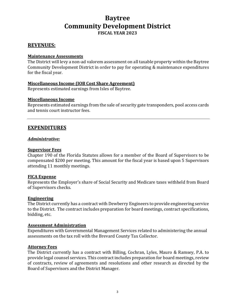### **REVENUES:**

#### **Maintenance Assessments**

The District will levy a non-ad valorem assessment on all taxable property within the Baytree Community Development District in order to pay for operating & maintenance expenditures for the fiscal year.

#### **Miscellaneous Income (IOB Cost Share Agreement)**

Represents estimated earnings from Isles of Baytree.

#### **Miscellaneous Income**

Represents estimated earnings from the sale of security gate transponders, pool access cards and tennis court instructor fees.

### **EXPENDITURES**

#### *Administrative:*

#### **Supervisor Fees**

Chapter 190 of the Florida Statutes allows for a member of the Board of Supervisors to be compensated \$200 per meeting. This amount for the fiscal year is based upon 5 Supervisors attending 11 monthly meetings.

#### **FICA Expense**

Represents the Employer's share of Social Security and Medicare taxes withheld from Board of Supervisors checks.

#### **Engineering**

The District currently has a contract with Dewberry Engineers to provide engineering service to the District. The contract includes preparation for board meetings, contract specifications, bidding, etc.

#### **Assessment Administration**

Expenditures with Governmental Management Services related to administering the annual assessments on the tax roll with the Brevard County Tax Collector.

#### **Attorney Fees**

The District currently has a contract with Billing, Cochran, Lyles, Mauro & Ramsey, P.A. to provide legal counsel services. This contract includes preparation for board meetings, review of contracts, review of agreements and resolutions and other research as directed by the Board of Supervisors and the District Manager.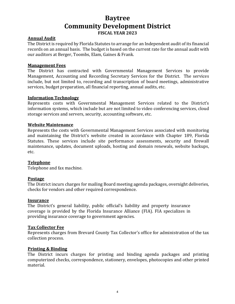## **Baytree Community Development District**

#### **FISCAL YEAR 2023**

#### **Annual Audit**

The District is required by Florida Statutes to arrange for an Independent audit of its financial records on an annual basis. The budget is based on the current rate for the annual audit with our auditors at Berger, Toombs, Elam, Gaines & Frank.

#### **Management Fees**

The District has contracted with Governmental Management Services to provide Management, Accounting and Recording Secretary Services for the District. The services include, but not limited to, recording and transcription of board meetings, administrative services, budget preparation, all financial reporting, annual audits, etc.

#### **Information Technology**

Represents costs with Governmental Management Services related to the District's information systems, which include but are not limited to video conferencing services, cloud storage services and servers, security, accounting software, etc.

#### **Website Maintenance**

Represents the costs with Governmental Management Services associated with monitoring and maintaining the District's website created in accordance with Chapter 189, Florida Statutes. These services include site performance assessments, security and firewall maintenance, updates, document uploads, hosting and domain renewals, website backups, etc.

#### **Telephone**

Telephone and fax machine.

#### **Postage**

The District incurs charges for mailing Board meeting agenda packages, overnight deliveries, checks for vendors and other required correspondence.

#### **Insurance**

The District's general liability, public official's liability and property insurance coverage is provided by the Florida Insurance Alliance (FIA). FIA specializes in providing insurance coverage to government agencies.

#### **Tax Collector Fee**

Represents charges from Brevard County Tax Collector's office for administration of the tax collection process.

#### **Printing & Binding**

The District incurs charges for printing and binding agenda packages and printing computerized checks, correspondence, stationery, envelopes, photocopies and other printed material.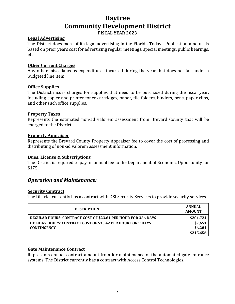## **Baytree Community Development District**

#### **FISCAL YEAR 2023**

#### **Legal Advertising**

The District does most of its legal advertising in the Florida Today. Publication amount is based on prior years cost for advertising regular meetings, special meetings, public hearings, etc.

#### **Other Current Charges**

Any other miscellaneous expenditures incurred during the year that does not fall under a budgeted line item.

#### **Office Supplies**

The District incurs charges for supplies that need to be purchased during the fiscal year, including copier and printer toner cartridges, paper, file folders, binders, pens, paper clips, and other such office supplies.

#### **Property Taxes**

Represents the estimated non-ad valorem assessment from Brevard County that will be charged to the District.

#### **Property Appraiser**

Represents the Brevard County Property Appraiser fee to cover the cost of processing and distributing of non-ad valorem assessment information.

#### **Dues, License & Subscriptions**

The District is required to pay an annual fee to the Department of Economic Opportunity for \$175. 

#### **Operation and Maintenance:**

#### **Security Contract**

The District currently has a contract with DSI Security Services to provide security services.

| <b>DESCRIPTION</b>                                                   | ANNUAL<br><b>AMOUNT</b> |
|----------------------------------------------------------------------|-------------------------|
| <b>REGULAR HOURS: CONTRACT COST OF \$23.61 PER HOUR FOR 356 DAYS</b> | \$201,724               |
| <b>HOLIDAY HOURS: CONTRACT COST OF \$35.42 PER HOUR FOR 9 DAYS</b>   | \$7,651                 |
| <b>CONTINGENCY</b>                                                   | \$6,281                 |
|                                                                      | \$215.656               |

#### **Gate Maintenance Contract**

Represents annual contract amount from for maintenance of the automated gate entrance systems. The District currently has a contract with Access Control Technologies.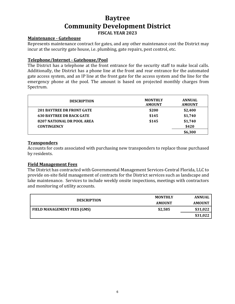#### **Maintenance - Gatehouse**

Represents maintenance contract for gates, and any other maintenance cost the District may incur at the security gate house, i.e. plumbing, gate repairs, pest control, etc.

#### **Telephone/Internet - Gatehouse/Pool**

The District has a telephone at the front entrance for the security staff to make local calls. Additionally, the District has a phone line at the front and rear entrance for the automated gate access system, and an IP line at the front gate for the access system and the line for the emergency phone at the pool. The amount is based on projected monthly charges from Spectrum.

| <b>DESCRIPTION</b>               | <b>MONTHLY</b><br><b>AMOUNT</b> | <b>ANNUAL</b><br><b>AMOUNT</b> |
|----------------------------------|---------------------------------|--------------------------------|
| <b>201 BAYTREE DR FRONT GATE</b> | \$200                           | \$2,400                        |
| <b>630 BAYTREE DR BACK GATE</b>  | \$145                           | \$1,740                        |
| 8207 NATIONAL DR POOL AREA       | \$145                           | \$1,740                        |
| <b>CONTINGENCY</b>               |                                 | \$420                          |
|                                  |                                 | \$6,300                        |

#### **Transponders**

Accounts for costs associated with purchasing new transponders to replace those purchased by residents.

#### **Field Management Fees**

The District has contracted with Governmental Management Services-Central Florida, LLC to provide on-site field management of contracts for the District services such as landscape and lake maintenance. Services to include weekly onsite inspections, meetings with contractors and monitoring of utility accounts.

|                             | <b>MONTHLY</b> | <b>ANNUAL</b> |
|-----------------------------|----------------|---------------|
| <b>DESCRIPTION</b>          | <b>AMOUNT</b>  | <b>AMOUNT</b> |
| FIELD MANAGEMENT FEES (GMS) | \$2,585        | \$31,022      |
|                             |                | \$31,022      |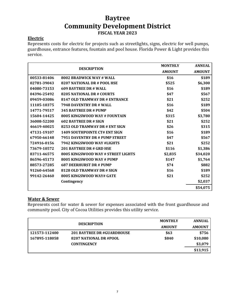### **Electric**

Represents costs for electric for projects such as streetlights, signs, electric for well pumps, guardhouse, entrance features, fountain and pool house. Florida Power & Light provides this service.

|             |                                      | <b>MONTHLY</b> | <b>ANNUAL</b> |
|-------------|--------------------------------------|----------------|---------------|
|             | <b>DESCRIPTION</b>                   | <b>AMOUNT</b>  | <b>AMOUNT</b> |
| 00533-81406 | 8002 BRADWICK WAY # WALL             | \$16           | \$189         |
| 02781-39043 | 8207 NATIONAL DR # POOL HSE          | \$525          | \$6,300       |
| 04080-73153 | 609 BAYTREE DR # WALL                | \$16           | \$189         |
| 04396-25492 | 8205 NATIONAL DR # COURTS            | \$47           | \$567         |
| 09459-03086 | 8147 OLD TRAMWAY DR # ENTRANCE       | \$21           | \$252         |
| 11105-10375 | 7948 DAVENTRY DR # WALL              | \$16           | \$189         |
| 14771-79517 | 345 BAYTREE DR # PUMP                | \$42           | \$504         |
| 15604-14425 | 8005 KINGSWOOD WAY # FOUNTAIN        | \$315          | \$3,780       |
| 36008-52200 | 602 BAYTREE DR # SIGN                | \$21           | \$252         |
| 46619-40025 | 8253 OLD TRAMWAY DR # ENT SIGN       | \$26           | \$315         |
| 47131-19107 | <b>1409 SOUTHPOINTE CT# ENT SIGN</b> | \$16           | \$189         |
| 67950-66148 | 7951 DAVENTRY DR # PUMP STREET       | \$47           | \$567         |
| 724916-0156 | 7942 KINGSWOOD WAY #LIGHTS           | \$21           | \$252         |
| 73679-10572 | 201 BAYTREE DR # GRD HSE             | \$116          | \$1,386       |
| 83711-46575 | 8005 KINGSWOOD WAY # STREET LIGHTS   | \$2,835        | \$34,020      |
| 86596-45173 | 8005 KINGSWOOD WAY # PUMP            | \$147          | \$1,764       |
| 88573-27285 | <b>687 DEERHURST DR # PUMP</b>       | \$74           | \$882         |
| 91260-64568 | 8128 OLD TRAMWAY DR # SIGN           | \$16           | \$189         |
| 99142-26460 | 8005 KINGSWOOD WAY# GATE             | \$21           | \$252         |
|             | Contingency                          |                | \$2,037       |
|             |                                      |                | \$54,075      |

#### **Water & Sewer**

Represents cost for water & sewer for expenses associated with the front guardhouse and community pool. City of Cocoa Utilities provides this utility service.

|               | <b>DESCRIPTION</b>                | <b>MONTHLY</b> | <b>ANNUAL</b> |
|---------------|-----------------------------------|----------------|---------------|
|               |                                   | <b>AMOUNT</b>  | <b>AMOUNT</b> |
| 121573-112400 | <b>201 BAYTREE DR #GUARDHOUSE</b> | \$63           | \$756         |
| 167895-118058 | 8207 NATIONAL DR #POOL            | \$840          | \$10,080      |
|               | <b>CONTINGENCY</b>                |                | \$3,079       |
|               |                                   |                | \$13,915      |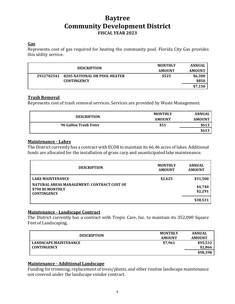#### **Gas**

Represents cost of gas required for heating the community pool. Florida City Gas provides this utility service.

|            | <b>DESCRIPTION</b>                                 | <b>MONTHLY</b><br><b>AMOUNT</b> | <b>ANNUAL</b><br><b>AMOUNT</b> |
|------------|----------------------------------------------------|---------------------------------|--------------------------------|
| 2932702542 | 8205 NATIONAL DR POOL HEATER<br><b>CONTINGENCY</b> | \$525                           | \$6,300<br>\$850               |
|            |                                                    |                                 | \$7,150                        |

#### **Trash Removal**

Represents cost of trash removal services. Services are provided by Waste Management.

|                              | <b>MONTHLY</b>                      | <b>ANNUAL</b> |
|------------------------------|-------------------------------------|---------------|
|                              | <b>DESCRIPTION</b><br><b>AMOUNT</b> | <b>AMOUNT</b> |
| <b>96 Gallon Trash Toter</b> | \$51                                | \$613         |
|                              |                                     | \$613         |

#### **Maintenance - Lakes**

The District currently has a contract with ECOR to maintain its 66.46 acres of lakes. Additional funds are allocated for the installation of grass carp and unanticipated lake maintenance.

| <b>DESCRIPTION</b>                                                                   | <b>MONTHLY</b><br><b>AMOUNT</b> | <b>ANNUAL</b><br><b>AMOUNT</b> |
|--------------------------------------------------------------------------------------|---------------------------------|--------------------------------|
| <b>LAKE MAINTENANCE</b>                                                              | \$2,625                         | \$31,500                       |
| NATURAL AREAS MANAGEMENT: CONTRACT COST OF<br>\$790 BI-MONTHLY<br><b>CONTINGENCY</b> |                                 | \$4,740<br>\$2,291             |
|                                                                                      |                                 | \$38,531                       |

#### **Maintenance - Landscape Contract**

The District currently has a contract with Tropic Care, Inc. to maintain its 352,000 Square Feet of Landscaping.

| <b>DESCRIPTION</b>                                 | <b>MONTHLY</b><br><b>AMOUNT</b> | <b>ANNUAL</b><br><b>AMOUNT</b> |
|----------------------------------------------------|---------------------------------|--------------------------------|
| <b>LANDSCAPE MAINTENANCE</b><br><b>CONTINGENCY</b> | \$7.961                         | \$95,532<br>\$2,866            |
|                                                    |                                 | \$98,398                       |

### **Maintenance - Additional Landscape**

Funding for trimming, replacement of trees/plants, and other routine landscape maintenance not covered under the landscape vendor contract.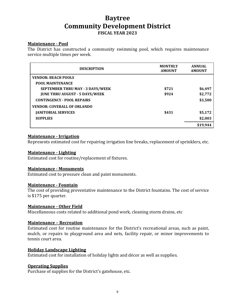#### **Maintenance - Pool**

The District has constructed a community swimming pool, which requires maintenance service multiple times per week.

| <b>DESCRIPTION</b>                      | <b>MONTHLY</b><br><b>AMOUNT</b> | <b>ANNUAL</b><br><b>AMOUNT</b> |
|-----------------------------------------|---------------------------------|--------------------------------|
| <b>VENDOR: BEACH POOLS</b>              |                                 |                                |
| <b>POOL MAINTENANCE</b>                 |                                 |                                |
| <b>SEPTEMBER THRU MAY - 3 DAYS/WEEK</b> | \$721                           | \$6,497                        |
| <b>JUNE THRU AUGUST - 5 DAYS/WEEK</b>   | \$924                           | \$2,772                        |
| <b>CONTINGENCY - POOL REPAIRS</b>       |                                 | \$3,500                        |
| <b>VENDOR: COVERALL OF ORLANDO</b>      |                                 |                                |
| <b>IANITORIAL SERVICES</b>              | \$431                           | \$5,172                        |
| <b>SUPPLIES</b>                         |                                 | \$2,003                        |
|                                         |                                 | \$19,944                       |

#### **Maintenance - Irrigation**

Represents estimated cost for repairing irrigation line breaks, replacement of sprinklers, etc.

#### **Maintenance - Lighting**

Estimated cost for routine/replacement of fixtures.

#### **Maintenance - Monuments**

Estimated cost to pressure clean and paint monuments.

#### **Maintenance - Fountain**

The cost of providing preventative maintenance to the District fountains. The cost of service is \$175 per quarter.

#### **Maintenance - Other Field**

Miscellaneous costs related to additional pond work, cleaning storm drains, etc

#### **Maintenance – Recreation**

Estimated cost for routine maintenance for the District's recreational areas, such as paint, mulch, or repairs to playground area and nets, facility repair, or minor improvements to tennis court area.

#### **Holiday Landscape Lighting**

Estimated cost for installation of holiday lights and décor as well as supplies.

#### **Operating Supplies**

Purchase of supplies for the District's gatehouse, etc.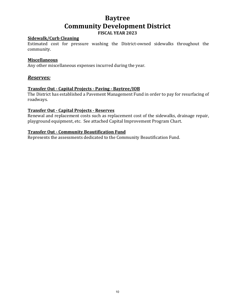## **Baytree Community Development District**

## **FISCAL YEAR 2023**

#### **Sidewalk/Curb Cleaning**

Estimated cost for pressure washing the District-owned sidewalks throughout the community.

#### **Miscellaneous**

Any other miscellaneous expenses incurred during the year.

### *Reserves:*

#### **Transfer Out - Capital Projects - Paving - Baytree/IOB**

The District has established a Pavement Management Fund in order to pay for resurfacing of roadways.

#### **Transfer Out - Capital Projects - Reserves**

Renewal and replacement costs such as replacement cost of the sidewalks, drainage repair, playground equipment, etc. See attached Capital Improvement Program Chart.

#### **Transfer Out - Community Beautification Fund**

Represents the assessments dedicated to the Community Beautification Fund.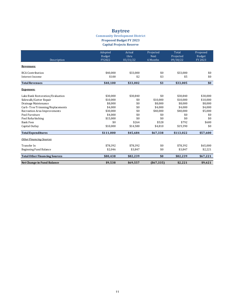#### **Community Development District Proposed Budget FY 2023 Capital Projects Reserve**

| Description                          | Adopted<br><b>Budget</b><br><b>FY2022</b> | Actual<br>thru<br>03/31/22 | Projected<br><b>Next</b><br>6 Months | Total<br>Projected<br>09/30/22 | Proposed<br><b>Budget</b><br>FY 2023 |
|--------------------------------------|-------------------------------------------|----------------------------|--------------------------------------|--------------------------------|--------------------------------------|
| Revenues:                            |                                           |                            |                                      |                                |                                      |
| <b>BCA Contribution</b>              | \$40.000                                  | \$33,000                   | \$0                                  | \$33,000                       | \$0                                  |
| Interest Income                      | \$100                                     | \$2                        | \$3                                  | \$5                            | \$0                                  |
| <b>Total Revenues</b>                | \$40,100                                  | \$33,002                   | \$3                                  | \$33,005                       | \$0                                  |
| <b>Expenses:</b>                     |                                           |                            |                                      |                                |                                      |
| Lake Bank Restoration/Evaluation     | \$30.000                                  | \$30,840                   | \$0                                  | \$30.840                       | \$30,000                             |
| Sidewalk/Gutter Repair               | \$10,000                                  | \$0                        | \$10,000                             | \$10,000                       | \$10,000                             |
| Drainage Maintenance                 | \$8.000                                   | \$0                        | \$8.000                              | \$8.000                        | \$8,000                              |
| Curb-Tree Trimming/Replacements      | \$4,000                                   | \$0                        | \$4,000                              | \$4,000                        | \$4,000                              |
| Recreation Area Improvements         | \$30,000                                  | \$0                        | \$40,000                             | \$40,000                       | \$5,000                              |
| Pool Furniture                       | \$4,000                                   | \$0                        | \$0                                  | \$0                            | \$0                                  |
| Pool Refurbishing                    | \$15,000                                  | \$0                        | \$0                                  | \$0                            | \$0                                  |
| <b>Bank Fees</b>                     | \$0                                       | \$264                      | \$528                                | \$792                          | \$600                                |
| Capital Outlay                       | \$10,000                                  | \$14,580                   | \$4,810                              | \$19,390                       | \$0                                  |
| <b>Total Expenditures</b>            | \$111,000                                 | \$45,684                   | \$67,338                             | \$113,022                      | \$57,600                             |
| <b>Other Financina Sources</b>       |                                           |                            |                                      |                                |                                      |
| Transfer In                          | \$78,392                                  | \$78,392                   | \$0                                  | \$78,392                       | \$65,000                             |
| <b>Beginning Fund Balance</b>        | \$2,046                                   | \$3,847                    | \$0                                  | \$3,847                        | \$2,221                              |
| <b>Total Other Financing Sources</b> | \$80,438                                  | \$82,239                   | \$0                                  | \$82,239                       | \$67,221                             |
| Net Change in Fund Balance           | \$9,538                                   | \$69,557                   | ( \$67, 335]                         | \$2,221                        | \$9,621                              |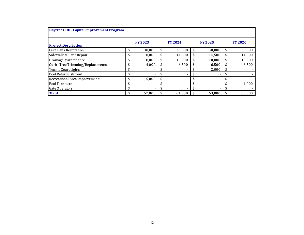| <b>Baytree CDD - Capital Improvement Program</b> |  |               |  |                          |    |               |    |               |
|--------------------------------------------------|--|---------------|--|--------------------------|----|---------------|----|---------------|
| <b>Project Description</b>                       |  | <b>FY2023</b> |  | <b>FY 2024</b>           |    | <b>FY2025</b> |    | <b>FY2026</b> |
| Lake Bank Restoration                            |  | 30,000        |  | 30,000                   |    | 30.000        | \$ | 30,000        |
| Sidewalk / Gutter Repair                         |  | 10,000        |  | 14,500                   | \$ | 14,500        | \$ | 14,500        |
| Drainage Maintenance                             |  | 8,000         |  | 10,000                   |    | 10,000        | \$ | 10,000        |
| Curb - Tree Trimming/Replacements                |  | 4,000         |  | 6,500                    |    | 6,500         |    | 6,500         |
| Tennis Court Lights                              |  |               |  | $\overline{\phantom{a}}$ |    | 2.000         | S  |               |
| Pool Refurbuishment                              |  |               |  | ٠                        |    |               |    |               |
| Recreational Area Improvements                   |  | 5,000         |  | $\overline{\phantom{a}}$ |    |               | \$ |               |
| Pool Furniture                                   |  |               |  | $\overline{\phantom{a}}$ |    |               |    | 4,000         |
| Gate Operators                                   |  |               |  | $\overline{\phantom{a}}$ |    |               |    |               |
| <b>Total</b>                                     |  | 57,000        |  | 61,000                   |    | 63.000        |    | 65.000        |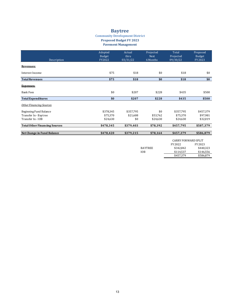#### **Community Development District Proposed Budget FY 2023**

**Pavement Management** 

|                                      | Adopted<br><b>Budget</b> | Actual<br>thru | Projected<br><b>Next</b> | Total<br>Projected | Proposed<br><b>Budget</b> |
|--------------------------------------|--------------------------|----------------|--------------------------|--------------------|---------------------------|
| Description                          | FY2022                   | 03/31/22       | 6 Months                 | 09/30/22           | FY 2023                   |
| Revenues:                            |                          |                |                          |                    |                           |
| Interest Income                      | \$75                     | \$18           | \$0                      | \$18               | \$0                       |
| <b>Total Revenues</b>                | \$75                     | \$18           | \$0                      | \$18               | \$0                       |
| <b>Expenses:</b>                     |                          |                |                          |                    |                           |
| <b>Bank Fees</b>                     | \$0                      | \$207          | \$228                    | \$435              | \$500                     |
| <b>Total Expenditures</b>            | \$0                      | \$207          | \$228                    | \$435              | \$500                     |
| <b>Other Financing Sources</b>       |                          |                |                          |                    |                           |
| Beginning Fund Balance               | \$378,345                | \$357,795      | \$0                      | \$357,795          | \$457,379                 |
| Transfer In - Baytree                | \$75,370                 | \$21.608       | \$53,762                 | \$75,370           | \$97,981                  |
| Transfer In - IOB                    | \$24,630                 | \$0            | \$24,630                 | \$24,630           | \$32,019                  |
| <b>Total Other Financing Sources</b> | \$478,345                | \$379,403      | \$78,392                 | \$457,795          | \$587,379                 |
| Net Change in Fund Balance           | \$478,420                | \$379,215      | \$78,164                 | \$457,379          | \$586,879                 |

|         | CARRY FORWARD SPLIT |           |  |  |
|---------|---------------------|-----------|--|--|
|         | FY 2022             | FY 2023   |  |  |
| BAYTREE | \$342.842           | \$440.323 |  |  |
| IOB     | \$114.537           | \$146.556 |  |  |
|         | \$457,379           | \$586.879 |  |  |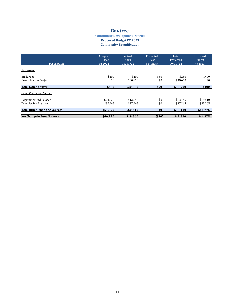#### **Community Development District Proposed Budget FY 2023 Community Beautification**

|                                      | Adopted       | Actual   | Projected   | Total     | Proposed      |
|--------------------------------------|---------------|----------|-------------|-----------|---------------|
|                                      | <b>Budget</b> | thru     | <b>Next</b> | Projected | <b>Budget</b> |
| Description                          | <b>FY2022</b> | 03/31/22 | 6 Months    | 09/30/22  | FY 2023       |
| <b>Expenses:</b>                     |               |          |             |           |               |
| <b>Bank Fees</b>                     | \$400         | \$200    | \$50        | \$250     | \$400         |
| <b>Beautification Projects</b>       | \$0           | \$30.650 | \$0         | \$30,650  | \$0           |
| <b>Total Expenditures</b>            | \$400         | \$30,850 | \$50        | \$30,900  | \$400         |
| <b>Other Financina Sources</b>       |               |          |             |           |               |
| Beginning Fund Balance               | \$24,125      | \$13,145 | \$0         | \$13,145  | \$19,510      |
| Transfer In - Baytree                | \$37,265      | \$37,265 | \$0         | \$37,265  | \$45,265      |
| <b>Total Other Financing Sources</b> | \$61,390      | \$50,410 | \$0         | \$50,410  | \$64,775      |
| Net Change in Fund Balance           | \$60,990      | \$19,560 | ( \$50]     | \$19,510  | \$64,375      |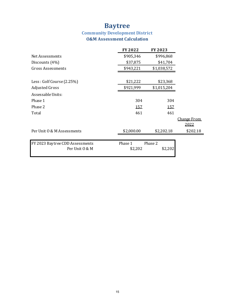## **Community Development District O&M** Assessment Calculation

|                                 | FY 2022    | FY 2023     |                     |
|---------------------------------|------------|-------------|---------------------|
| Net Assessments                 | \$905,346  | \$996,868   |                     |
| Discounts $(4%)$                | \$37,875   | \$41,704    |                     |
| Gross Assessments               | \$943,221  | \$1,038,572 |                     |
| Less: Golf Course (2.25%)       | \$21,222   | \$23,368    |                     |
| <b>Adjusted Gross</b>           | \$921,999  | \$1,015,204 |                     |
| Assessable Units:               |            |             |                     |
| Phase 1                         | 304        | 304         |                     |
| Phase 2                         | 157        | 157         |                     |
| Total                           | 461        | 461         |                     |
|                                 |            |             | Change From<br>2022 |
| Per Unit 0 & M Assessments      | \$2,000.00 | \$2,202.18  | \$202.18            |
|                                 |            |             |                     |
| FY 2023 Baytree CDD Assessments | Phase 1    | Phase 2     |                     |
| Per Unit 0 & M                  | \$2,202    | \$2,202     |                     |
|                                 |            |             |                     |